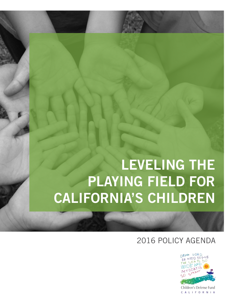# **LEVELING THE PLAYING FIELD FOR CALIFORNIA'S CHILDREN**

### 2016 POLICY AGENDA



Children's Defense Fund CALIFORNIA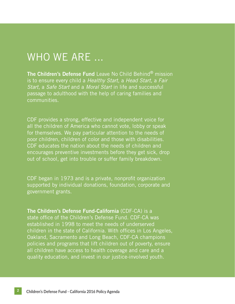### WHO WE ARE ...

**The Children's Defense Fund** Leave No Child Behind® mission is to ensure every child a *Healthy Start*, a *Head Start*, a *Fair Start*, a *Safe Start* and a *Moral Start* in life and successful passage to adulthood with the help of caring families and communities.

CDF provides a strong, effective and independent voice for all the children of America who cannot vote, lobby or speak for themselves. We pay particular attention to the needs of poor children, children of color and those with disabilities. CDF educates the nation about the needs of children and encourages preventive investments before they get sick, drop out of school, get into trouble or suffer family breakdown.

CDF began in 1973 and is a private, nonprofit organization supported by individual donations, foundation, corporate and government grants.

**The Children's Defense Fund-California** (CDF-CA) is a state office of the Children's Defense Fund. CDF-CA was established in 1998 to meet the needs of underserved children in the state of California. With offices in Los Angeles, Oakland, Sacramento and Long Beach, CDF-CA champions policies and programs that lift children out of poverty, ensure all children have access to health coverage and care and a quality education, and invest in our justice-involved youth.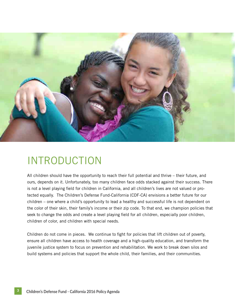

### INTRODUCTION

All children should have the opportunity to reach their full potential and thrive – their future, and ours, depends on it. Unfortunately, too many children face odds stacked against their success. There is not a level playing field for children in California, and all children's lives are not valued or protected equally. The Children's Defense Fund-California (CDF-CA) envisions a better future for our children – one where a child's opportunity to lead a healthy and successful life is not dependent on the color of their skin, their family's income or their zip code. To that end, we champion policies that seek to change the odds and create a level playing field for all children, especially poor children, children of color, and children with special needs.

Children do not come in pieces. We continue to fight for policies that lift children out of poverty, ensure all children have access to health coverage and a high-quality education, and transform the juvenile justice system to focus on prevention and rehabilitation. We work to break down silos and build systems and policies that support the whole child, their families, and their communities.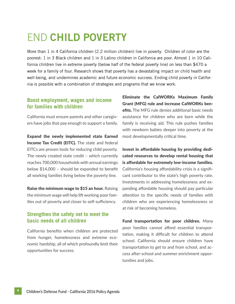## END **CHILD POVERTY**

More than 1 in 4 California children (2.2 million children) live in poverty. Children of color are the poorest: 1 in 3 Black children and 1 in 3 Latino children in California are poor. Almost 1 in 10 California children live in extreme poverty (below half of the federal poverty line) on less than \$470 a week for a family of four. Research shows that poverty has a devastating impact on child health and well-being, and undermines academic and future economic success. Ending child poverty in California is possible with a combination of strategies and programs that we know work.

#### **Boost employment, wages and income for families with children**

California must ensure parents and other caregivers have jobs that pay enough to support a family.

Expand the newly implemented state Earned **Income Tax Credit (EITC).** The state and federal EITCs are proven tools for reducing child poverty. The newly created state credit – which currently reaches 700,000 households with annual earnings below \$14,000 – should be expanded to benefit all working families living below the poverty line.

Raise the minimum wage to \$15 an hour. Raising the minimum wage will help lift working poor families out of poverty and closer to self-sufficiency.

#### **Strengthen the safety net to meet the basic needs of all children**

California benefits when children are protected from hunger, homelessness and extreme economic hardship, all of which profoundly limit their opportunities for success.

Eliminate the CalWORKs Maximum Family Grant (MFG) rule and increase CalWORKs benefits. The MFG rule denies additional basic needs assistance for children who are born while the family is receiving aid. This rule pushes families with newborn babies deeper into poverty at the most developmentally critical time.

Invest in affordable housing by providing dedicated resources to develop rental housing that is affordable for extremely low-income families. California's housing affordability crisis is a significant contributor to the state's high poverty rate. Investments in addressing homelessness and expanding affordable housing should pay particular attention to the specific needs of families with children who are experiencing homelessness or at risk of becoming homeless.

Fund transportation for poor children. Many poor families cannot afford essential transportation, making it difficult for children to attend school. California should ensure children have transportation to get to and from school, and access after-school and summer enrichment opportunities and jobs.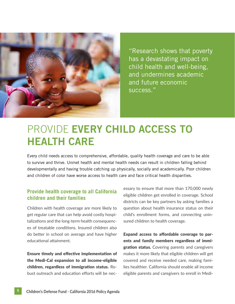

"Research shows that poverty has a devastating impact on child health and well-being, and undermines academic and future economic success."

### PROVIDE **EVERY CHILD ACCESS TO HEALTH CARE**

Every child needs access to comprehensive, affordable, quality health coverage and care to be able to survive and thrive. Unmet health and mental health needs can result in children falling behind developmentally and having trouble catching up physically, socially and academically. Poor children and children of color have worse access to health care and face critical health disparities.

#### **Provide health coverage to all California children and their families**

Children with health coverage are more likely to get regular care that can help avoid costly hospitalizations and the long-term health consequences of treatable conditions. Insured children also do better in school on average and have higher educational attainment.

Ensure timely and effective implementation of the Medi-Cal expansion to all income-eligible children, regardless of immigration status. Robust outreach and education efforts will be necessary to ensure that more than 170,000 newly eligible children get enrolled in coverage. School districts can be key partners by asking families a question about health insurance status on their child's enrollment forms, and connecting uninsured children to health coverage.

Expand access to affordable coverage to parents and family members regardless of immigration status. Covering parents and caregivers makes it more likely that eligible children will get covered and receive needed care, making families healthier. California should enable all income eligible parents and caregivers to enroll in Medi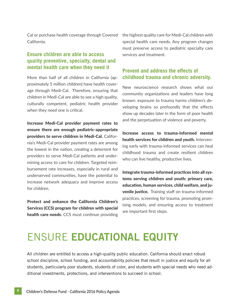Cal or purchase health coverage through Covered California.

#### **Ensure children are able to access quality preventive, specialty, dental and mental health care when they need it**

More than half of all children in California (approximately 5 million children) have health coverage through Medi-Cal. Therefore, ensuring that children in Medi-Cal are able to see a high quality, culturally competent, pediatric health provider when they need one is critical.

Increase Medi-Cal provider payment rates to ensure there are enough pediatric-appropriate providers to serve children in Medi-Cal. California's Medi-Cal provider payment rates are among the lowest in the nation, creating a deterrent for providers to serve Medi-Cal patients and undermining access to care for children. Targeted reimbursement rate increases, especially in rural and underserved communities, have the potential to increase network adequacy and improve access for children.

Protect and enhance the California Children's Services (CCS) program for children with special health care needs. CCS must continue providing the highest quality care for Medi-Cal children with special health care needs. Any program changes must preserve access to pediatric specialty care services and treatment.

#### **Prevent and address the effects of childhood trauma and chronic adversity.**

New neuroscience research shows what our community organizations and leaders have long known: exposure to trauma harms children's developing brains so profoundly that the effects show up decades later in the form of poor health and the perpetuation of violence and poverty.

Increase access to trauma-informed mental health services for children and youth. Intervening early with trauma-informed services can heal childhood trauma and create resilient children who can live healthy, productive lives.

Integrate trauma-informed practices into all systems serving children and youth: primary care, education, human services, child welfare, and juvenile justice. Training staff on trauma-informed practices, screening for trauma, promoting promising models, and ensuring access to treatment are important first steps.

### ENSURE **EDUCATIONAL EQUITY**

All children are entitled to access a high-quality public education. California should enact robust school discipline, school funding, and accountability policies that result in justice and equity for all students, particularly poor students, students of color, and students with special needs who need additional investments, protections, and interventions to succeed in school.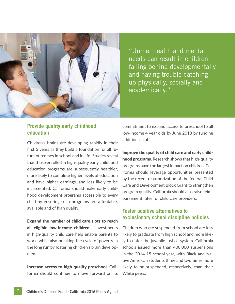

"Unmet health and mental needs can result in children falling behind developmentally and having trouble catching up physically, socially and academically."

#### **Provide quality early childhood education**

Children's brains are developing rapidly in their first 5 years as they build a foundation for all future outcomes in school and in life. Studies reveal that those enrolled in high-quality early childhood education programs are subsequently healthier, more likely to complete higher levels of education and have higher earnings, and less likely to be incarcerated. California should make early childhood development programs accessible to every child by ensuring such programs are affordable, available and of high quality.

Expand the number of child care slots to reach all eligible low-income children. Investments in high-quality child care help enable parents to work, while also breaking the cycle of poverty in the long run by fostering children's brain development.

Increase access to high-quality preschool. California should continue to move forward on its commitment to expand access to preschool to all low-income 4 year olds by June 2018 by funding additional slots.

Improve the quality of child care and early childhood programs. Research shows that high-quality programs have the largest impact on children. California should leverage opportunities presented by the recent reauthorization of the federal Child Care and Development Block Grant to strengthen program quality. California should also raise reimbursement rates for child care providers.

#### **Foster positive alternatives to exclusionary school discipline policies**

Children who are suspended from school are less likely to graduate from high school and more likely to enter the juvenile justice system. California schools issued more than 400,000 suspensions in the 2014-15 school year, with Black and Native American students three and two times more likely to be suspended, respectively, than their White peers.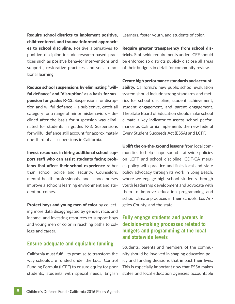Require school districts to implement positive, child-centered, and trauma-informed approaches to school discipline. Positive alternatives to punitive discipline include research-based practices such as positive behavior interventions and supports, restorative practices, and social-emotional learning.

Reduce school suspensions by eliminating "willful defiance" and "disruption" as a basis for sus**pension for grades K-12.** Suspensions for disruption and willful defiance – a subjective, catch-all category for a range of minor misbehaviors – declined after the basis for suspension was eliminated for students in grades K-3. Suspensions for willful defiance still account for approximately one-third of all suspensions in California.

Invest resources in hiring additional school support staff who can assist students facing problems that affect their school experience rather than school police and security. Counselors, mental health professionals, and school nurses improve a school's learning environment and student outcomes.

Protect boys and young men of color by collecting more data disaggregated by gender, race, and income, and investing resources to support boys and young men of color in reaching paths to college and career.

#### **Ensure adequate and equitable funding**

California must fulfill its promise to transform the way schools are funded under the Local Control Funding Formula (LCFF) to ensure equity for poor students, students with special needs, English

Learners, foster youth, and students of color.

Require greater transparency from school districts. Statewide requirements under LCFF should be enforced so districts publicly disclose all areas of their budgets in detail for community review.

Create high performance standards and accountability. California's new public school evaluation system should include strong standards and metrics for school discipline, student achievement, student engagement, and parent engagement. The State Board of Education should make school climate a key indicator to assess school performance as California implements the new federal Every Student Succeeds Act (ESSA) and LCFF.

Uplift the on-the-ground lessons from local communities to help shape sound statewide policies on LCFF and school discipline. CDF-CA merges policy with practice and links local and state policy advocacy through its work in Long Beach, where we engage high school students through youth leadership development and advocate with them to improve education programming and school climate practices in their schools, Los Angeles County, and the state.

#### **Fully engage students and parents in decision-making processes related to budgets and programming at the local and statewide levels**

Students, parents and members of the community should be involved in shaping education policy and funding decisions that impact their lives. This is especially important now that ESSA makes states and local education agencies accountable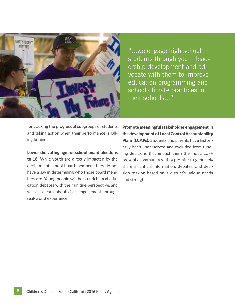

"...we engage high school students through youth leadership development and advocate with them to improve education programming and school climate practices in their schools..."

for tracking the progress of subgroups of students and taking action when their performance is falling behind.

Lower the voting age for school board elections to 16. While youth are directly impacted by the decisions of school board members, they do not have a say in determining who those board members are. Young people will help enrich local education debates with their unique perspective, and will also learn about civic engagement through real-world experience.

Promote meaningful stakeholder engagement in the development of Local Control Accountability Plans (LCAPs). Students and parents have historically been underserved and excluded from funding decisions that impact them the most. LCFF presents community with a promise to genuinely share in critical information, debates, and decision making based on a district's unique needs and strengths.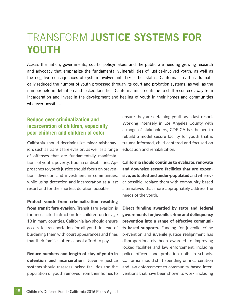### TRANSFORM **JUSTICE SYSTEMS FOR YOUTH**

Across the nation, governments, courts, policymakers and the public are heeding growing research and advocacy that emphasize the fundamental vulnerabilities of justice-involved youth, as well as the negative consequences of system-involvement. Like other states, California has thus dramatically reduced the number of youth processed through its court and probation systems, as well as the number held in detention and locked facilities. California must continue to shift resources away from incarceration and invest in the development and healing of youth in their homes and communities wherever possible.

#### **Reduce over-criminalization and incarceration of children, especially poor children and children of color**

California should decriminalize minor misbehaviors such as transit fare evasion, as well as a range of offenses that are fundamentally manifestations of youth, poverty, trauma or disabilities. Approaches to youth justice should focus on prevention, diversion and investment in communities, while using detention and incarceration as a last resort and for the shortest duration possible.

Protect youth from criminalization resulting from transit fare evasion. Transit fare evasion is the most cited infraction for children under age 18 in many counties. California law should ensure access to transportation for all youth instead of burdening them with court appearances and fines that their families often cannot afford to pay.

Reduce numbers and length of stay of youth in detention and incarceration. Juvenile justice systems should reassess locked facilities and the population of youth removed from their homes to ensure they are detaining youth as a last resort. Working intensely in Los Angeles County with a range of stakeholders, CDF-CA has helped to rebuild a model secure facility for youth that is trauma-informed, child-centered and focused on education and rehabilitation.

California should continue to evaluate, renovate and downsize secure facilities that are expensive, outdated and under-populated and wherever possible, replace them with community-based alternatives that more appropriately address the needs of the youth.

Direct funding awarded by state and federal governments for juvenile crime and delinquency prevention into a range of effective community-based supports. Funding for juvenile crime prevention and juvenile justice realignment has disproportionately been awarded to improving locked facilities and law enforcement, including police officers and probation units in schools. California should shift spending on incarceration and law enforcement to community-based interventions that have been shown to work, including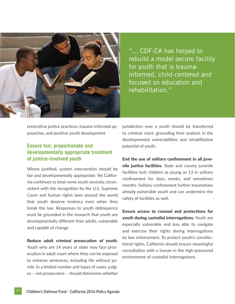

"... CDF-CA has helped to rebuild a model secure facility for youth that is traumainformed, child-centered and focused on education and rehabilitation."

restorative justice practices, trauma-informed approaches, and positive youth development.

#### **Ensure fair, proportionate and developmentally appropriate treatment of justice-involved youth**

Where justified, system intervention should be fair and developmentally appropriate. Yet California continues to treat some youth severely, inconsistent with the recognition by the U.S. Supreme Court and human rights laws around the world that youth deserve leniency even when they break the law. Responses to youth delinquency must be grounded in the research that youth are developmentally different than adults, vulnerable and capable of change.

Reduce adult criminal prosecution of youth. Youth who are 14 years or older may face prosecution in adult court where they can be exposed to extreme sentences, including life without parole. In a limited number and types of cases, judges – not prosecutors – should determine whether jurisdiction over a youth should be transferred to criminal court, grounding their analysis in the developmental vulnerabilities and rehabilitative potential of youth.

End the use of solitary confinement in all juvenile justice facilities. State and county juvenile facilities lock children as young as 13 in solitary confinement for days, weeks, and sometimes months. Solitary confinement further traumatizes already vulnerable youth and can undermine the safety of facilities as well.

Ensure access to counsel and protections for youth during custodial interrogations. Youth are especially vulnerable and less able to navigate and exercise their rights during interrogations by law enforcement. To protect youth's constitutional rights, California should ensure meaningful consultation with a lawyer in the high-pressured environment of custodial interrogations.